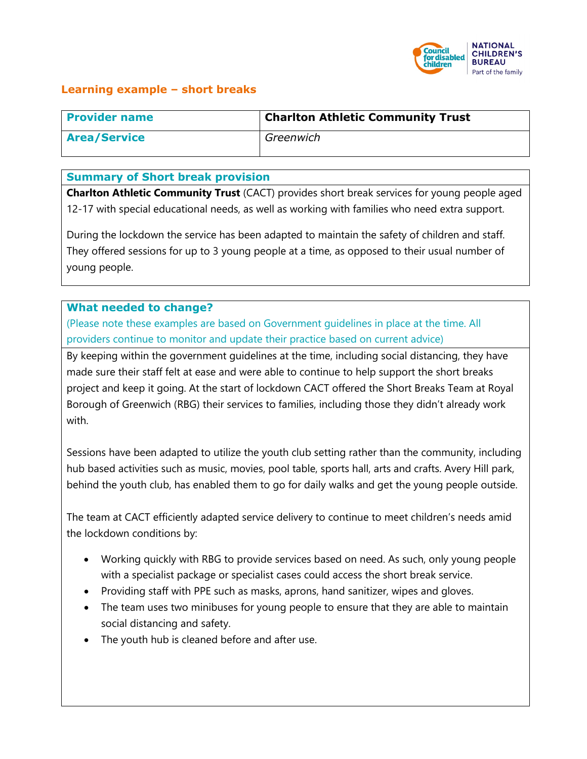

## **Learning example – short breaks**

| <b>Provider name</b> | <b>Charlton Athletic Community Trust</b> |
|----------------------|------------------------------------------|
| <b>Area/Service</b>  | Greenwich                                |

#### **Summary of Short break provision**

**Charlton Athletic Community Trust** (CACT) provides short break services for young people aged 12-17 with special educational needs, as well as working with families who need extra support.

During the lockdown the service has been adapted to maintain the safety of children and staff. They offered sessions for up to 3 young people at a time, as opposed to their usual number of young people.

### **What needed to change?**

(Please note these examples are based on Government guidelines in place at the time. All providers continue to monitor and update their practice based on current advice)

By keeping within the government guidelines at the time, including social distancing, they have made sure their staff felt at ease and were able to continue to help support the short breaks project and keep it going. At the start of lockdown CACT offered the Short Breaks Team at Royal Borough of Greenwich (RBG) their services to families, including those they didn't already work with.

Sessions have been adapted to utilize the youth club setting rather than the community, including hub based activities such as music, movies, pool table, sports hall, arts and crafts. Avery Hill park, behind the youth club, has enabled them to go for daily walks and get the young people outside.

The team at CACT efficiently adapted service delivery to continue to meet children's needs amid the lockdown conditions by:

- Working quickly with RBG to provide services based on need. As such, only young people with a specialist package or specialist cases could access the short break service.
- Providing staff with PPE such as masks, aprons, hand sanitizer, wipes and gloves.
- The team uses two minibuses for young people to ensure that they are able to maintain social distancing and safety.
- The youth hub is cleaned before and after use.